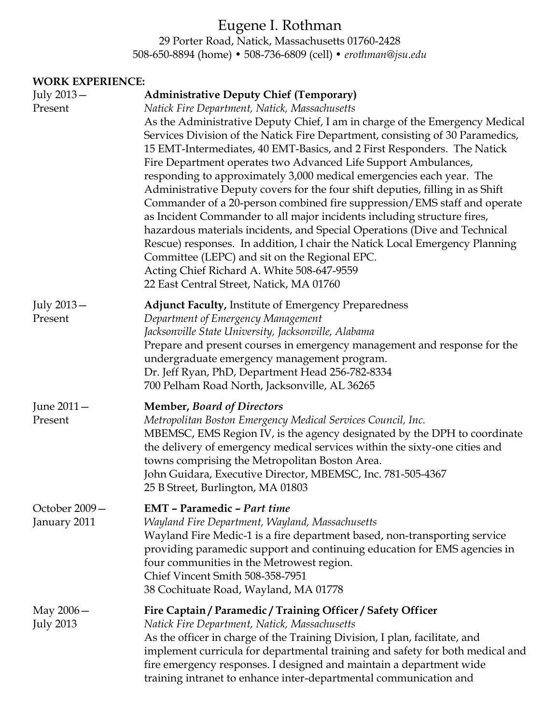# Eugene I. Rothman

29 Porter Road, Natick, Massachusetts 01760-2428 508-650-8894 (home) • 508-736-6809 (cell) • *erothman@jsu.edu*

#### **WORK EXPERIENCE:**

| July 2013-<br>Present           | <b>Administrative Deputy Chief (Temporary)</b><br>Natick Fire Department, Natick, Massachusetts<br>As the Administrative Deputy Chief, I am in charge of the Emergency Medical<br>Services Division of the Natick Fire Department, consisting of 30 Paramedics,<br>15 EMT-Intermediates, 40 EMT-Basics, and 2 First Responders. The Natick<br>Fire Department operates two Advanced Life Support Ambulances,<br>responding to approximately 3,000 medical emergencies each year. The<br>Administrative Deputy covers for the four shift deputies, filling in as Shift<br>Commander of a 20-person combined fire suppression/EMS staff and operate<br>as Incident Commander to all major incidents including structure fires,<br>hazardous materials incidents, and Special Operations (Dive and Technical<br>Rescue) responses. In addition, I chair the Natick Local Emergency Planning<br>Committee (LEPC) and sit on the Regional EPC.<br>Acting Chief Richard A. White 508-647-9559<br>22 East Central Street, Natick, MA 01760 |
|---------------------------------|-------------------------------------------------------------------------------------------------------------------------------------------------------------------------------------------------------------------------------------------------------------------------------------------------------------------------------------------------------------------------------------------------------------------------------------------------------------------------------------------------------------------------------------------------------------------------------------------------------------------------------------------------------------------------------------------------------------------------------------------------------------------------------------------------------------------------------------------------------------------------------------------------------------------------------------------------------------------------------------------------------------------------------------|
| July 2013-<br>Present           | <b>Adjunct Faculty, Institute of Emergency Preparedness</b><br>Department of Emergency Management<br>Jacksonville State University, Jacksonville, Alabama<br>Prepare and present courses in emergency management and response for the<br>undergraduate emergency management program.<br>Dr. Jeff Ryan, PhD, Department Head 256-782-8334<br>700 Pelham Road North, Jacksonville, AL 36265                                                                                                                                                                                                                                                                                                                                                                                                                                                                                                                                                                                                                                           |
| June 2011 –<br>Present          | <b>Member, Board of Directors</b><br>Metropolitan Boston Emergency Medical Services Council, Inc.<br>MBEMSC, EMS Region IV, is the agency designated by the DPH to coordinate<br>the delivery of emergency medical services within the sixty-one cities and<br>towns comprising the Metropolitan Boston Area.<br>John Guidara, Executive Director, MBEMSC, Inc. 781-505-4367<br>25 B Street, Burlington, MA 01803                                                                                                                                                                                                                                                                                                                                                                                                                                                                                                                                                                                                                   |
| October 2009-<br>January 2011   | <b>EMT</b> - Paramedic - Part time<br>Wayland Fire Department, Wayland, Massachusetts<br>Wayland Fire Medic-1 is a fire department based, non-transporting service<br>providing paramedic support and continuing education for EMS agencies in<br>four communities in the Metrowest region.<br>Chief Vincent Smith 508-358-7951<br>38 Cochituate Road, Wayland, MA 01778                                                                                                                                                                                                                                                                                                                                                                                                                                                                                                                                                                                                                                                            |
| May $2006-$<br><b>July 2013</b> | Fire Captain / Paramedic / Training Officer / Safety Officer<br>Natick Fire Department, Natick, Massachusetts<br>As the officer in charge of the Training Division, I plan, facilitate, and<br>implement curricula for departmental training and safety for both medical and<br>fire emergency responses. I designed and maintain a department wide<br>training intranet to enhance inter-departmental communication and                                                                                                                                                                                                                                                                                                                                                                                                                                                                                                                                                                                                            |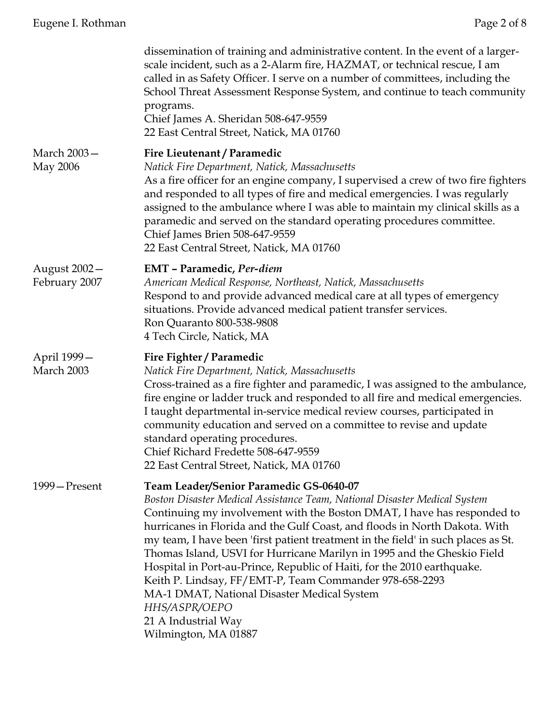|                               | dissemination of training and administrative content. In the event of a larger-<br>scale incident, such as a 2-Alarm fire, HAZMAT, or technical rescue, I am<br>called in as Safety Officer. I serve on a number of committees, including the<br>School Threat Assessment Response System, and continue to teach community<br>programs.<br>Chief James A. Sheridan 508-647-9559<br>22 East Central Street, Natick, MA 01760                                                                                                                                                                                                                                                                               |
|-------------------------------|-----------------------------------------------------------------------------------------------------------------------------------------------------------------------------------------------------------------------------------------------------------------------------------------------------------------------------------------------------------------------------------------------------------------------------------------------------------------------------------------------------------------------------------------------------------------------------------------------------------------------------------------------------------------------------------------------------------|
| March 2003-<br>May 2006       | Fire Lieutenant / Paramedic<br>Natick Fire Department, Natick, Massachusetts<br>As a fire officer for an engine company, I supervised a crew of two fire fighters<br>and responded to all types of fire and medical emergencies. I was regularly<br>assigned to the ambulance where I was able to maintain my clinical skills as a<br>paramedic and served on the standard operating procedures committee.<br>Chief James Brien 508-647-9559<br>22 East Central Street, Natick, MA 01760                                                                                                                                                                                                                  |
| August 2002-<br>February 2007 | <b>EMT</b> - Paramedic, Per-diem<br>American Medical Response, Northeast, Natick, Massachusetts<br>Respond to and provide advanced medical care at all types of emergency<br>situations. Provide advanced medical patient transfer services.<br>Ron Quaranto 800-538-9808<br>4 Tech Circle, Natick, MA                                                                                                                                                                                                                                                                                                                                                                                                    |
| April 1999-<br>March 2003     | Fire Fighter / Paramedic<br>Natick Fire Department, Natick, Massachusetts<br>Cross-trained as a fire fighter and paramedic, I was assigned to the ambulance,<br>fire engine or ladder truck and responded to all fire and medical emergencies.<br>I taught departmental in-service medical review courses, participated in<br>community education and served on a committee to revise and update<br>standard operating procedures.<br>Chief Richard Fredette 508-647-9559<br>22 East Central Street, Natick, MA 01760                                                                                                                                                                                     |
| 1999 – Present                | <b>Team Leader/Senior Paramedic GS-0640-07</b><br>Boston Disaster Medical Assistance Team, National Disaster Medical System<br>Continuing my involvement with the Boston DMAT, I have has responded to<br>hurricanes in Florida and the Gulf Coast, and floods in North Dakota. With<br>my team, I have been 'first patient treatment in the field' in such places as St.<br>Thomas Island, USVI for Hurricane Marilyn in 1995 and the Gheskio Field<br>Hospital in Port-au-Prince, Republic of Haiti, for the 2010 earthquake.<br>Keith P. Lindsay, FF/EMT-P, Team Commander 978-658-2293<br>MA-1 DMAT, National Disaster Medical System<br>HHS/ASPR/OEPO<br>21 A Industrial Way<br>Wilmington, MA 01887 |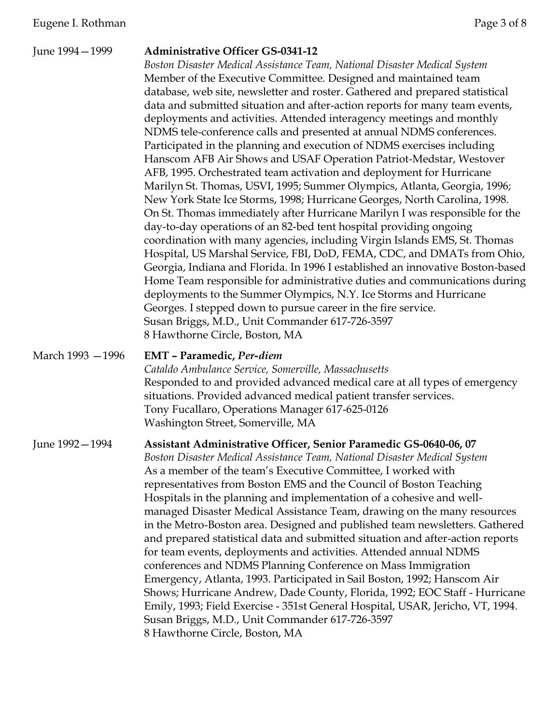| June 1994 - 1999  | <b>Administrative Officer GS-0341-12</b><br>Boston Disaster Medical Assistance Team, National Disaster Medical System<br>Member of the Executive Committee. Designed and maintained team<br>database, web site, newsletter and roster. Gathered and prepared statistical<br>data and submitted situation and after-action reports for many team events,<br>deployments and activities. Attended interagency meetings and monthly<br>NDMS tele-conference calls and presented at annual NDMS conferences.<br>Participated in the planning and execution of NDMS exercises including<br>Hanscom AFB Air Shows and USAF Operation Patriot-Medstar, Westover<br>AFB, 1995. Orchestrated team activation and deployment for Hurricane<br>Marilyn St. Thomas, USVI, 1995; Summer Olympics, Atlanta, Georgia, 1996;<br>New York State Ice Storms, 1998; Hurricane Georges, North Carolina, 1998.<br>On St. Thomas immediately after Hurricane Marilyn I was responsible for the<br>day-to-day operations of an 82-bed tent hospital providing ongoing<br>coordination with many agencies, including Virgin Islands EMS, St. Thomas<br>Hospital, US Marshal Service, FBI, DoD, FEMA, CDC, and DMATs from Ohio,<br>Georgia, Indiana and Florida. In 1996 I established an innovative Boston-based<br>Home Team responsible for administrative duties and communications during<br>deployments to the Summer Olympics, N.Y. Ice Storms and Hurricane<br>Georges. I stepped down to pursue career in the fire service.<br>Susan Briggs, M.D., Unit Commander 617-726-3597<br>8 Hawthorne Circle, Boston, MA |
|-------------------|--------------------------------------------------------------------------------------------------------------------------------------------------------------------------------------------------------------------------------------------------------------------------------------------------------------------------------------------------------------------------------------------------------------------------------------------------------------------------------------------------------------------------------------------------------------------------------------------------------------------------------------------------------------------------------------------------------------------------------------------------------------------------------------------------------------------------------------------------------------------------------------------------------------------------------------------------------------------------------------------------------------------------------------------------------------------------------------------------------------------------------------------------------------------------------------------------------------------------------------------------------------------------------------------------------------------------------------------------------------------------------------------------------------------------------------------------------------------------------------------------------------------------------------------------------------------------------------------------|
| March 1993 - 1996 | <b>EMT</b> - Paramedic, Per-diem<br>Cataldo Ambulance Service, Somerville, Massachusetts<br>Responded to and provided advanced medical care at all types of emergency<br>situations. Provided advanced medical patient transfer services.<br>Tony Fucallaro, Operations Manager 617-625-0126<br>Washington Street, Somerville, MA                                                                                                                                                                                                                                                                                                                                                                                                                                                                                                                                                                                                                                                                                                                                                                                                                                                                                                                                                                                                                                                                                                                                                                                                                                                                |
| June 1992-1994    | Assistant Administrative Officer, Senior Paramedic GS-0640-06, 07<br>Boston Disaster Medical Assistance Team, National Disaster Medical System<br>As a member of the team's Executive Committee, I worked with<br>representatives from Boston EMS and the Council of Boston Teaching<br>Hospitals in the planning and implementation of a cohesive and well-<br>managed Disaster Medical Assistance Team, drawing on the many resources<br>in the Metro-Boston area. Designed and published team newsletters. Gathered<br>and prepared statistical data and submitted situation and after-action reports<br>for team events, deployments and activities. Attended annual NDMS<br>conferences and NDMS Planning Conference on Mass Immigration<br>Emergency, Atlanta, 1993. Participated in Sail Boston, 1992; Hanscom Air<br>Shows; Hurricane Andrew, Dade County, Florida, 1992; EOC Staff - Hurricane<br>Emily, 1993; Field Exercise - 351st General Hospital, USAR, Jericho, VT, 1994.<br>Susan Briggs, M.D., Unit Commander 617-726-3597<br>8 Hawthorne Circle, Boston, MA                                                                                                                                                                                                                                                                                                                                                                                                                                                                                                                   |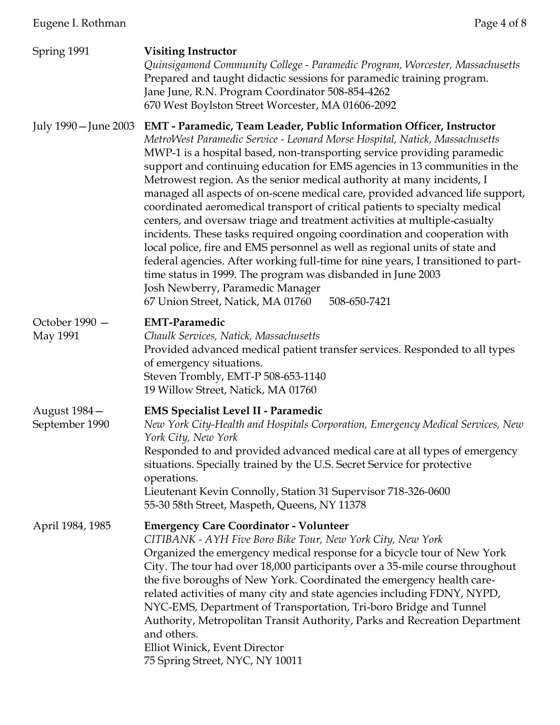| Spring 1991                    | <b>Visiting Instructor</b><br>Quinsigamond Community College - Paramedic Program, Worcester, Massachusetts<br>Prepared and taught didactic sessions for paramedic training program.<br>Jane June, R.N. Program Coordinator 508-854-4262<br>670 West Boylston Street Worcester, MA 01606-2092                                                                                                                                                                                                                                                                                                                                                                                                                                                                                                                                                                                                                                                                                                                                                 |
|--------------------------------|----------------------------------------------------------------------------------------------------------------------------------------------------------------------------------------------------------------------------------------------------------------------------------------------------------------------------------------------------------------------------------------------------------------------------------------------------------------------------------------------------------------------------------------------------------------------------------------------------------------------------------------------------------------------------------------------------------------------------------------------------------------------------------------------------------------------------------------------------------------------------------------------------------------------------------------------------------------------------------------------------------------------------------------------|
| July 1990 – June 2003          | EMT - Paramedic, Team Leader, Public Information Officer, Instructor<br>MetroWest Paramedic Service - Leonard Morse Hospital, Natick, Massachusetts<br>MWP-1 is a hospital based, non-transporting service providing paramedic<br>support and continuing education for EMS agencies in 13 communities in the<br>Metrowest region. As the senior medical authority at many incidents, I<br>managed all aspects of on-scene medical care, provided advanced life support,<br>coordinated aeromedical transport of critical patients to specialty medical<br>centers, and oversaw triage and treatment activities at multiple-casualty<br>incidents. These tasks required ongoing coordination and cooperation with<br>local police, fire and EMS personnel as well as regional units of state and<br>federal agencies. After working full-time for nine years, I transitioned to part-<br>time status in 1999. The program was disbanded in June 2003<br>Josh Newberry, Paramedic Manager<br>508-650-7421<br>67 Union Street, Natick, MA 01760 |
| October 1990 -<br>May 1991     | <b>EMT-Paramedic</b><br>Chaulk Services, Natick, Massachusetts<br>Provided advanced medical patient transfer services. Responded to all types<br>of emergency situations.<br>Steven Trombly, EMT-P 508-653-1140<br>19 Willow Street, Natick, MA 01760                                                                                                                                                                                                                                                                                                                                                                                                                                                                                                                                                                                                                                                                                                                                                                                        |
| August 1984-<br>September 1990 | <b>EMS Specialist Level II - Paramedic</b><br>New York City-Health and Hospitals Corporation, Emergency Medical Services, New<br>York City, New York<br>Responded to and provided advanced medical care at all types of emergency<br>situations. Specially trained by the U.S. Secret Service for protective<br>operations.<br>Lieutenant Kevin Connolly, Station 31 Supervisor 718-326-0600<br>55-30 58th Street, Maspeth, Queens, NY 11378                                                                                                                                                                                                                                                                                                                                                                                                                                                                                                                                                                                                 |
| April 1984, 1985               | <b>Emergency Care Coordinator - Volunteer</b><br>CITIBANK - AYH Five Boro Bike Tour, New York City, New York<br>Organized the emergency medical response for a bicycle tour of New York<br>City. The tour had over 18,000 participants over a 35-mile course throughout<br>the five boroughs of New York. Coordinated the emergency health care-<br>related activities of many city and state agencies including FDNY, NYPD,<br>NYC-EMS, Department of Transportation, Tri-boro Bridge and Tunnel<br>Authority, Metropolitan Transit Authority, Parks and Recreation Department<br>and others.<br>Elliot Winick, Event Director<br>75 Spring Street, NYC, NY 10011                                                                                                                                                                                                                                                                                                                                                                           |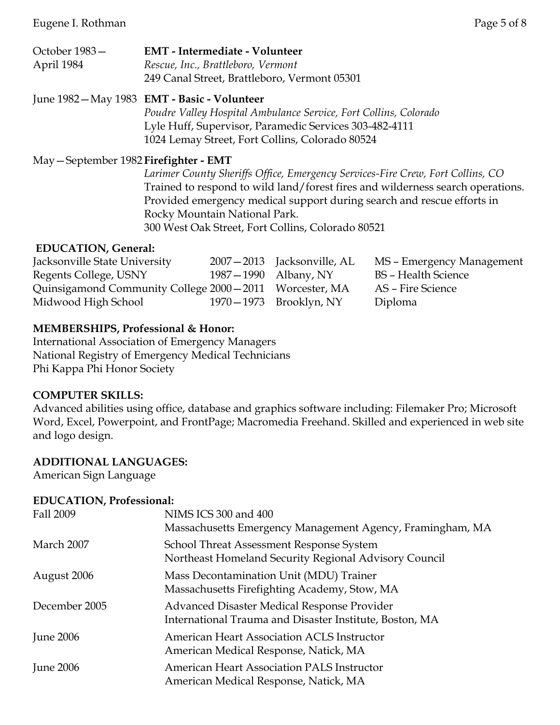| October 1983- | <b>EMT</b> - Intermediate - Volunteer        |
|---------------|----------------------------------------------|
| April 1984    | Rescue, Inc., Brattleboro, Vermont           |
|               | 249 Canal Street, Brattleboro, Vermont 05301 |

### June 1982—May 1983 **EMT - Basic - Volunteer**

*Poudre Valley Hospital Ambulance Service, Fort Collins, Colorado* Lyle Huff, Supervisor, Paramedic Services 303-482-4111 1024 Lemay Street, Fort Collins, Colorado 80524

#### May—September 1982 **Firefighter - EMT**

*Larimer County Sheriffs Office, Emergency Services-Fire Crew, Fort Collins, CO* Trained to respond to wild land/forest fires and wilderness search operations. Provided emergency medical support during search and rescue efforts in Rocky Mountain National Park. 300 West Oak Street, Fort Collins, Colorado 80521

#### **EDUCATION, General:**

| Jacksonville State University                            |                      | 2007-2013 Jacksonville, AL | MS – Emergency Management |
|----------------------------------------------------------|----------------------|----------------------------|---------------------------|
| Regents College, USNY                                    | 1987–1990 Albany, NY |                            | BS – Health Science       |
| Quinsigamond Community College 2000 - 2011 Worcester, MA |                      |                            | AS – Fire Science         |
| Midwood High School                                      |                      | 1970–1973 Brooklyn, NY     | Diploma                   |

### **MEMBERSHIPS, Professional & Honor:**

International Association of Emergency Managers National Registry of Emergency Medical Technicians Phi Kappa Phi Honor Society

#### **COMPUTER SKILLS:**

Advanced abilities using office, database and graphics software including: Filemaker Pro; Microsoft Word, Excel, Powerpoint, and FrontPage; Macromedia Freehand. Skilled and experienced in web site and logo design.

### **ADDITIONAL LANGUAGES:**

American Sign Language

### **EDUCATION, Professional:**

| Fall 2009        | NIMS ICS 300 and 400<br>Massachusetts Emergency Management Agency, Framingham, MA                      |
|------------------|--------------------------------------------------------------------------------------------------------|
| March 2007       | School Threat Assessment Response System<br>Northeast Homeland Security Regional Advisory Council      |
| August 2006      | Mass Decontamination Unit (MDU) Trainer<br>Massachusetts Firefighting Academy, Stow, MA                |
| December 2005    | Advanced Disaster Medical Response Provider<br>International Trauma and Disaster Institute, Boston, MA |
| <b>June 2006</b> | <b>American Heart Association ACLS Instructor</b><br>American Medical Response, Natick, MA             |
| <b>June 2006</b> | American Heart Association PALS Instructor<br>American Medical Response, Natick, MA                    |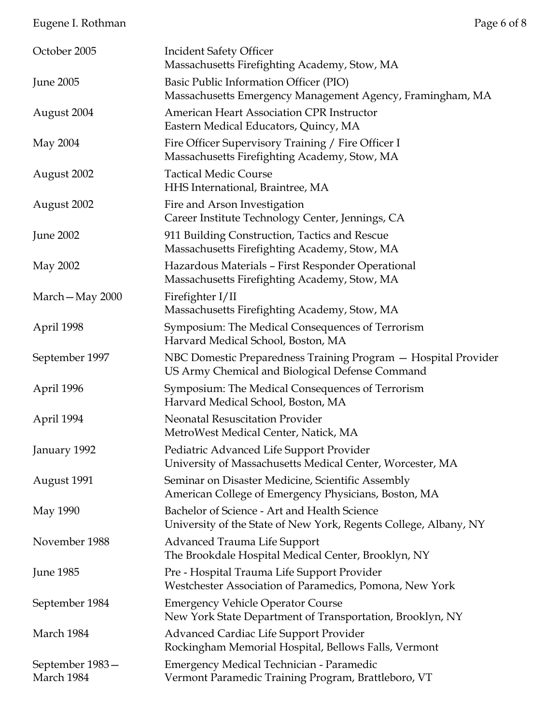# Eugene I. Rothman Page 6 of 8

| October 2005                  | <b>Incident Safety Officer</b><br>Massachusetts Firefighting Academy, Stow, MA                                    |
|-------------------------------|-------------------------------------------------------------------------------------------------------------------|
| <b>June 2005</b>              | Basic Public Information Officer (PIO)<br>Massachusetts Emergency Management Agency, Framingham, MA               |
| August 2004                   | American Heart Association CPR Instructor<br>Eastern Medical Educators, Quincy, MA                                |
| May 2004                      | Fire Officer Supervisory Training / Fire Officer I<br>Massachusetts Firefighting Academy, Stow, MA                |
| August 2002                   | <b>Tactical Medic Course</b><br>HHS International, Braintree, MA                                                  |
| August 2002                   | Fire and Arson Investigation<br>Career Institute Technology Center, Jennings, CA                                  |
| <b>June 2002</b>              | 911 Building Construction, Tactics and Rescue<br>Massachusetts Firefighting Academy, Stow, MA                     |
| May 2002                      | Hazardous Materials - First Responder Operational<br>Massachusetts Firefighting Academy, Stow, MA                 |
| March-May 2000                | Firefighter I/II                                                                                                  |
|                               | Massachusetts Firefighting Academy, Stow, MA                                                                      |
| April 1998                    | Symposium: The Medical Consequences of Terrorism<br>Harvard Medical School, Boston, MA                            |
| September 1997                | NBC Domestic Preparedness Training Program - Hospital Provider<br>US Army Chemical and Biological Defense Command |
| April 1996                    | Symposium: The Medical Consequences of Terrorism<br>Harvard Medical School, Boston, MA                            |
| April 1994                    | Neonatal Resuscitation Provider<br>MetroWest Medical Center, Natick, MA                                           |
| January 1992                  | Pediatric Advanced Life Support Provider<br>University of Massachusetts Medical Center, Worcester, MA             |
| August 1991                   | Seminar on Disaster Medicine, Scientific Assembly<br>American College of Emergency Physicians, Boston, MA         |
| May 1990                      | Bachelor of Science - Art and Health Science<br>University of the State of New York, Regents College, Albany, NY  |
| November 1988                 | <b>Advanced Trauma Life Support</b><br>The Brookdale Hospital Medical Center, Brooklyn, NY                        |
| <b>June 1985</b>              | Pre - Hospital Trauma Life Support Provider<br>Westchester Association of Paramedics, Pomona, New York            |
| September 1984                | <b>Emergency Vehicle Operator Course</b><br>New York State Department of Transportation, Brooklyn, NY             |
| March 1984                    | <b>Advanced Cardiac Life Support Provider</b><br>Rockingham Memorial Hospital, Bellows Falls, Vermont             |
| September 1983-<br>March 1984 | Emergency Medical Technician - Paramedic<br>Vermont Paramedic Training Program, Brattleboro, VT                   |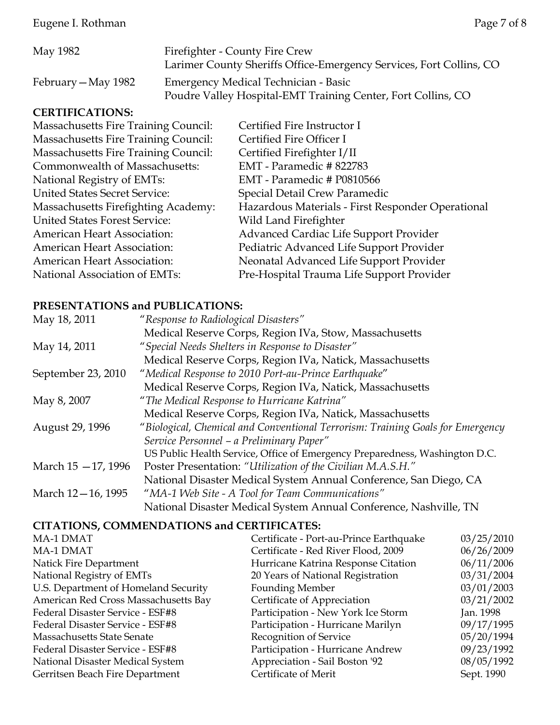Eugene I. Rothman Page 7 of 8

| May 1982            | Firefighter - County Fire Crew                                      |
|---------------------|---------------------------------------------------------------------|
|                     | Larimer County Sheriffs Office-Emergency Services, Fort Collins, CO |
| February — May 1982 | Emergency Medical Technician - Basic                                |
|                     | Poudre Valley Hospital-EMT Training Center, Fort Collins, CO        |

### **CERTIFICATIONS:**

| Certified Fire Instructor I                       |
|---------------------------------------------------|
| Certified Fire Officer I                          |
| Certified Firefighter I/II                        |
| EMT - Paramedic #822783                           |
| EMT - Paramedic # P0810566                        |
| Special Detail Crew Paramedic                     |
| Hazardous Materials - First Responder Operational |
| Wild Land Firefighter                             |
| Advanced Cardiac Life Support Provider            |
| Pediatric Advanced Life Support Provider          |
| Neonatal Advanced Life Support Provider           |
| Pre-Hospital Trauma Life Support Provider         |
|                                                   |

### **PRESENTATIONS and PUBLICATIONS:**

| May 18, 2011        | "Response to Radiological Disasters"                                           |
|---------------------|--------------------------------------------------------------------------------|
|                     | Medical Reserve Corps, Region IVa, Stow, Massachusetts                         |
| May 14, 2011        | "Special Needs Shelters in Response to Disaster"                               |
|                     | Medical Reserve Corps, Region IVa, Natick, Massachusetts                       |
| September 23, 2010  | "Medical Response to 2010 Port-au-Prince Earthquake"                           |
|                     | Medical Reserve Corps, Region IVa, Natick, Massachusetts                       |
| May 8, 2007         | "The Medical Response to Hurricane Katrina"                                    |
|                     | Medical Reserve Corps, Region IVa, Natick, Massachusetts                       |
| August 29, 1996     | "Biological, Chemical and Conventional Terrorism: Training Goals for Emergency |
|                     | Service Personnel - a Preliminary Paper"                                       |
|                     | US Public Health Service, Office of Emergency Preparedness, Washington D.C.    |
| March 15 - 17, 1996 | Poster Presentation: "Utilization of the Civilian M.A.S.H."                    |
|                     | National Disaster Medical System Annual Conference, San Diego, CA              |
| March 12-16, 1995   | "MA-1 Web Site - A Tool for Team Communications"                               |
|                     | National Disaster Medical System Annual Conference, Nashville, TN              |

## **CITATIONS, COMMENDATIONS and CERTIFICATES:**

| MA-1 DMAT                            | Certificate - Port-au-Prince Earthquake | 03/25/2010 |
|--------------------------------------|-----------------------------------------|------------|
| MA-1 DMAT                            | Certificate - Red River Flood, 2009     | 06/26/2009 |
| Natick Fire Department               | Hurricane Katrina Response Citation     | 06/11/2006 |
| National Registry of EMTs            | 20 Years of National Registration       | 03/31/2004 |
| U.S. Department of Homeland Security | <b>Founding Member</b>                  | 03/01/2003 |
| American Red Cross Massachusetts Bay | Certificate of Appreciation             | 03/21/2002 |
| Federal Disaster Service - ESF#8     | Participation - New York Ice Storm      | Jan. 1998  |
| Federal Disaster Service - ESF#8     | Participation - Hurricane Marilyn       | 09/17/1995 |
| <b>Massachusetts State Senate</b>    | Recognition of Service                  | 05/20/1994 |
| Federal Disaster Service - ESF#8     | Participation - Hurricane Andrew        | 09/23/1992 |
| National Disaster Medical System     | Appreciation - Sail Boston '92          | 08/05/1992 |
| Gerritsen Beach Fire Department      | Certificate of Merit                    | Sept. 1990 |